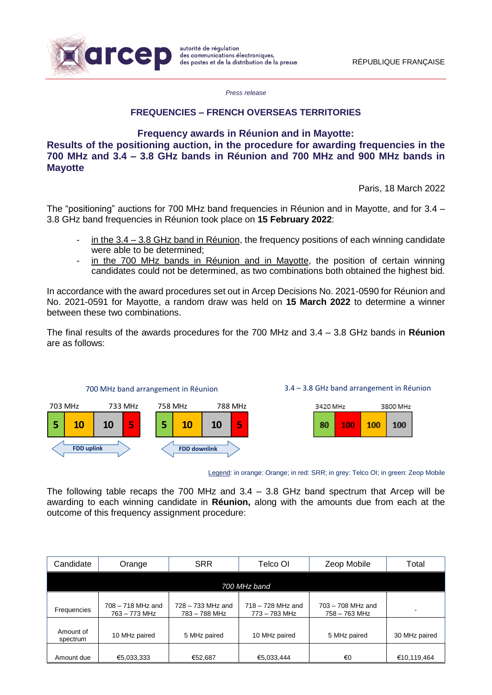

*Press release*

### **FREQUENCIES – FRENCH OVERSEAS TERRITORIES**

**Frequency awards in Réunion and in Mayotte:**

**Results of the positioning auction, in the procedure for awarding frequencies in the 700 MHz and 3.4 – 3.8 GHz bands in Réunion and 700 MHz and 900 MHz bands in Mayotte**

Paris, 18 March 2022

The "positioning" auctions for 700 MHz band frequencies in Réunion and in Mayotte, and for 3.4 -3.8 GHz band frequencies in Réunion took place on **15 February 2022**:

- in the  $3.4 3.8$  GHz band in Réunion, the frequency positions of each winning candidate were able to be determined;
- in the 700 MHz bands in Réunion and in Mayotte, the position of certain winning candidates could not be determined, as two combinations both obtained the highest bid.

In accordance with the award procedures set out in Arcep Decisions No. 2021-0590 for Réunion and No. 2021-0591 for Mayotte, a random draw was held on **15 March 2022** to determine a winner between these two combinations.

The final results of the awards procedures for the 700 MHz and 3.4 – 3.8 GHz bands in **Réunion** are as follows:



Legend: in orange: Orange; in red: SRR; in grey: Telco OI; in green: Zeop Mobile

The following table recaps the 700 MHz and  $3.4 - 3.8$  GHz band spectrum that Arcep will be awarding to each winning candidate in **Réunion,** along with the amounts due from each at the outcome of this frequency assignment procedure:

| Candidate             | Orange                             | <b>SRR</b>                           | Telco OI                             | Zeop Mobile                          | Total         |
|-----------------------|------------------------------------|--------------------------------------|--------------------------------------|--------------------------------------|---------------|
|                       |                                    |                                      | 700 MHz band                         |                                      |               |
| Frequencies           | 708 - 718 MHz and<br>763 – 773 MHz | $728 - 733$ MHz and<br>783 - 788 MHz | $718 - 728$ MHz and<br>773 - 783 MHz | $703 - 708$ MHz and<br>758 - 763 MHz | ۰             |
| Amount of<br>spectrum | 10 MHz paired                      | 5 MHz paired                         | 10 MHz paired                        | 5 MHz paired                         | 30 MHz paired |
| Amount due            | €5,033,333                         | €52,687                              | €5,033,444                           | €0                                   | €10,119,464   |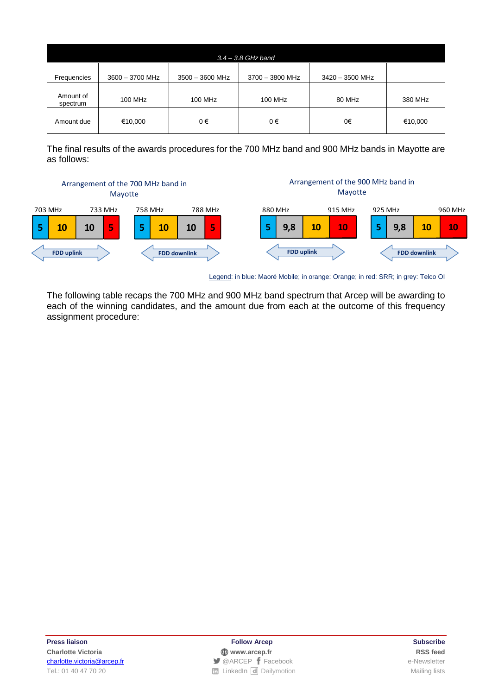| $3.4 - 3.8$ GHz band  |                 |                   |                 |                   |         |  |
|-----------------------|-----------------|-------------------|-----------------|-------------------|---------|--|
| Frequencies           | 3600 - 3700 MHz | $3500 - 3600$ MHz | 3700 - 3800 MHz | $3420 - 3500$ MHz |         |  |
| Amount of<br>spectrum | 100 MHz         | 100 MHz           | 100 MHz         | 80 MHz            | 380 MHz |  |
| Amount due            | €10,000         | 0€                | 0€              | 0€                | €10,000 |  |

The final results of the awards procedures for the 700 MHz band and 900 MHz bands in Mayotte are as follows:



Legend: in blue: Maoré Mobile; in orange: Orange; in red: SRR; in grey: Telco OI

The following table recaps the 700 MHz and 900 MHz band spectrum that Arcep will be awarding to each of the winning candidates, and the amount due from each at the outcome of this frequency assignment procedure:

**Press liaison Follow Arcep Subscribe Charlotte Victoria [www.arcep.fr](http://www.arcep.fr/) [RSS](file://///fichiers01/feed/::www.arcep.fr:%3feID=tx_rssforge&feedid=2&h=14df1) feed** [charlotte.victoria@arcep.fr](mailto:charlotte.victoria@arcep.fr) **blue acception** and the Acceptance of [Facebook](https://www.facebook.com/arcep.fr) e-Newsletter Tel.: 01 40 47 70 20 [LinkedIn](https://www.linkedin.com/company/arcep) [Dailymotion](http://www.dailymotion.com/ARCEP) Mailing lists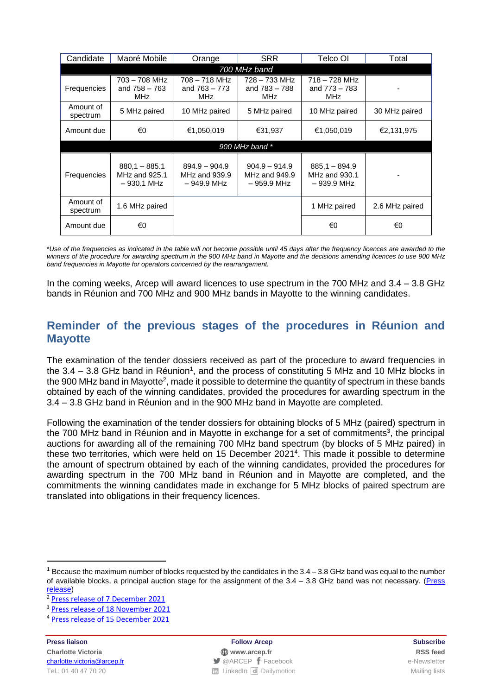| Candidate             | Maoré Mobile                                     | <b>SRR</b><br>Orange                            |                                                 | Telco OI                                        | Total          |  |  |
|-----------------------|--------------------------------------------------|-------------------------------------------------|-------------------------------------------------|-------------------------------------------------|----------------|--|--|
| 700 MHz band          |                                                  |                                                 |                                                 |                                                 |                |  |  |
| Frequencies           | 703 – 708 MHz<br>and $758 - 763$<br><b>MHz</b>   | 708 – 718 MHz<br>and $763 - 773$<br><b>MHz</b>  | 728 – 733 MHz<br>and 783 - 788<br><b>MHz</b>    | 718 – 728 MHz<br>and 773 – 783<br>MHz           |                |  |  |
| Amount of<br>spectrum | 5 MHz paired                                     | 10 MHz paired                                   | 5 MHz paired                                    | 10 MHz paired                                   | 30 MHz paired  |  |  |
| Amount due            | €0                                               | €1,050,019<br>€31,937                           |                                                 | €1,050,019                                      | €2,131,975     |  |  |
| 900 MHz band *        |                                                  |                                                 |                                                 |                                                 |                |  |  |
| <b>Frequencies</b>    | $880.1 - 885.1$<br>MHz and 925.1<br>$-930.1$ MHz | $894.9 - 904.9$<br>MHz and 939.9<br>– 949.9 MHz | $904.9 - 914.9$<br>MHz and 949.9<br>– 959.9 MHz | $885.1 - 894.9$<br>MHz and 930.1<br>– 939.9 MHz |                |  |  |
| Amount of<br>spectrum | 1.6 MHz paired                                   |                                                 |                                                 | 1 MHz paired                                    | 2.6 MHz paired |  |  |
| Amount due            | €0                                               |                                                 |                                                 | €0                                              | €0             |  |  |

\*Use of the frequencies as indicated in the table will not become possible until 45 days after the frequency licences are awarded to the winners of the procedure for awarding spectrum in the 900 MHz band in Mayotte and the decisions amending licences to use 900 MHz *band frequencies in Mayotte for operators concerned by the rearrangement.*

In the coming weeks, Arcep will award licences to use spectrum in the 700 MHz and 3.4 – 3.8 GHz bands in Réunion and 700 MHz and 900 MHz bands in Mayotte to the winning candidates.

## **Reminder of the previous stages of the procedures in Réunion and Mayotte**

The examination of the tender dossiers received as part of the procedure to award frequencies in the 3.4  $-$  3.8 GHz band in Réunion<sup>1</sup>, and the process of constituting 5 MHz and 10 MHz blocks in the 900 MHz band in Mayotte<sup>2</sup>, made it possible to determine the quantity of spectrum in these bands obtained by each of the winning candidates, provided the procedures for awarding spectrum in the 3.4 – 3.8 GHz band in Réunion and in the 900 MHz band in Mayotte are completed.

Following the examination of the tender dossiers for obtaining blocks of 5 MHz (paired) spectrum in the 700 MHz band in Réunion and in Mayotte in exchange for a set of commitments<sup>3</sup>, the principal auctions for awarding all of the remaining 700 MHz band spectrum (by blocks of 5 MHz paired) in these two territories, which were held on 15 December 2021<sup>4</sup>. This made it possible to determine the amount of spectrum obtained by each of the winning candidates, provided the procedures for awarding spectrum in the 700 MHz band in Réunion and in Mayotte are completed, and the commitments the winning candidates made in exchange for 5 MHz blocks of paired spectrum are translated into obligations in their frequency licences.

**Press liaison Follow Arcep Subscribe**

**.** 

**Charlotte Victoria [www.arcep.fr](http://www.arcep.fr/) [RSS](file://///fichiers01/feed/::www.arcep.fr:%3feID=tx_rssforge&feedid=2&h=14df1) feed** [charlotte.victoria@arcep.fr](mailto:charlotte.victoria@arcep.fr) **blue acception** and the CARCEP [Facebook](https://www.facebook.com/arcep.fr) e-Newsletter Tel.: 01 40 47 70 20 **[LinkedIn](https://www.linkedin.com/company/arcep) [Dailymotion](http://www.dailymotion.com/ARCEP)** Company Mailing lists

 $1$  Because the maximum number of blocks requested by the candidates in the 3.4 – 3.8 GHz band was equal to the number of available blocks, a principal auction stage for the assignment of the 3.4 – 3.8 GHz band was not necessary. [\(Press](https://en.arcep.fr/news/press-releases/view/n/frequencies-french-overseas-territories-181121.html) [release\)](https://en.arcep.fr/news/press-releases/view/n/frequencies-french-overseas-territories-181121.html)

<sup>&</sup>lt;sup>2</sup> [Press release of](https://en.arcep.fr/news/press-releases/view/n/frequencies-french-overseas-territories-071221.html) 7 December 2021

<sup>&</sup>lt;sup>3</sup> [Press release of](https://en.arcep.fr/news/press-releases/view/n/frequencies-french-overseas-territories-181121.html) 18 November 2021

<sup>4</sup> [Press release of 15](https://en.arcep.fr/news/press-releases/view/n/frequencies-french-overseas-territories-151221.html) December 2021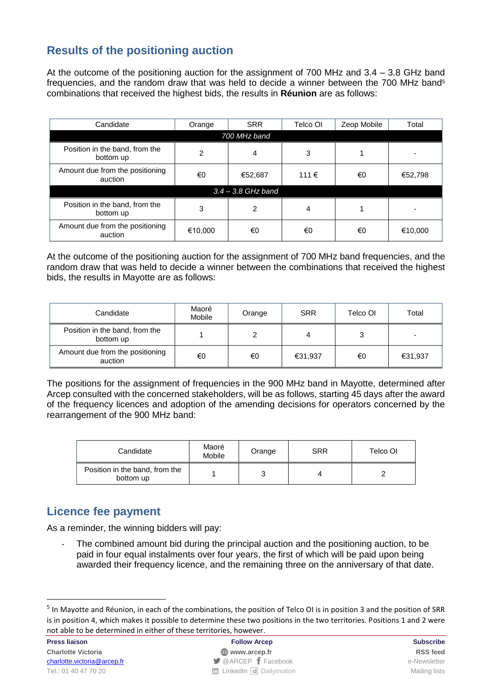# **Results of the positioning auction**

At the outcome of the positioning auction for the assignment of 700 MHz and 3.4 – 3.8 GHz band frequencies, and the random draw that was held to decide a winner between the 700 MHz band<sup>5</sup> combinations that received the highest bids, the results in **Réunion** are as follows:

| Candidate                                   | Orange         | <b>SRR</b> | Telco OI | Zeop Mobile | Total   |  |
|---------------------------------------------|----------------|------------|----------|-------------|---------|--|
| 700 MHz band                                |                |            |          |             |         |  |
| Position in the band, from the<br>bottom up | $\mathfrak{p}$ | 4          | 3        |             |         |  |
| Amount due from the positioning<br>auction  | €0             | €52,687    | 111€     | €0          | €52,798 |  |
| $3.4 - 3.8$ GHz band                        |                |            |          |             |         |  |
| Position in the band, from the<br>bottom up | 3              | 2          | 4        |             |         |  |
| Amount due from the positioning<br>auction  | €10,000        | €0         | €0       | €0          | €10,000 |  |

At the outcome of the positioning auction for the assignment of 700 MHz band frequencies, and the random draw that was held to decide a winner between the combinations that received the highest bids, the results in Mayotte are as follows:

| Candidate                                   | Maoré<br>Mobile | Orange | <b>SRR</b> | Telco OI | Total                    |
|---------------------------------------------|-----------------|--------|------------|----------|--------------------------|
| Position in the band, from the<br>bottom up |                 |        |            |          | $\overline{\phantom{0}}$ |
| Amount due from the positioning<br>auction  | €0              | €0     | €31,937    | €0       | €31,937                  |

The positions for the assignment of frequencies in the 900 MHz band in Mayotte, determined after Arcep consulted with the concerned stakeholders, will be as follows, starting 45 days after the award of the frequency licences and adoption of the amending decisions for operators concerned by the rearrangement of the 900 MHz band:

| Candidate                                   | Maoré<br>Mobile | Orange | <b>SRR</b> | Telco OI |
|---------------------------------------------|-----------------|--------|------------|----------|
| Position in the band, from the<br>bottom up |                 |        | 4          |          |

## **Licence fee payment**

As a reminder, the winning bidders will pay:

The combined amount bid during the principal auction and the positioning auction, to be paid in four equal instalments over four years, the first of which will be paid upon being awarded their frequency licence, and the remaining three on the anniversary of that date.

1

<sup>&</sup>lt;sup>5</sup> In Mayotte and Réunion, in each of the combinations, the position of Telco OI is in position 3 and the position of SRR is in position 4, which makes it possible to determine these two positions in the two territories. Positions 1 and 2 were not able to be determined in either of these territories, however.